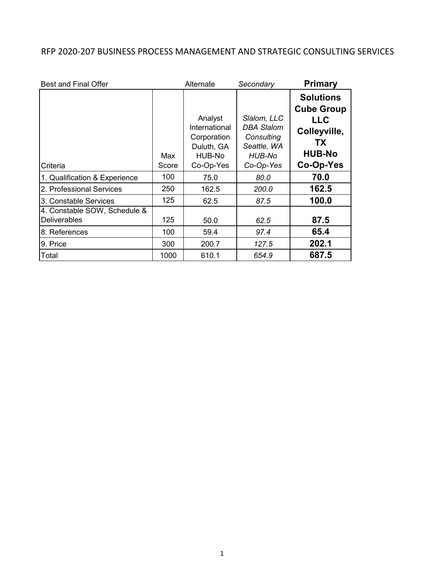## RFP 2020-207 BUSINESS PROCESS MANAGEMENT AND STRATEGIC CONSULTING SERVICES

| <b>Best and Final Offer</b>                         |              | Alternate                                                                    | Secondary                                                                            | <b>Primary</b>                                                                                          |
|-----------------------------------------------------|--------------|------------------------------------------------------------------------------|--------------------------------------------------------------------------------------|---------------------------------------------------------------------------------------------------------|
| Criteria                                            | Max<br>Score | Analyst<br>International<br>Corporation<br>Duluth, GA<br>HUB-No<br>Co-Op-Yes | Slalom, LLC<br><b>DBA Slalom</b><br>Consulting<br>Seattle, WA<br>HUB-No<br>Co-Op-Yes | <b>Solutions</b><br><b>Cube Group</b><br><b>LLC</b><br>Colleyville,<br>ТX<br><b>HUB-No</b><br>Co-Op-Yes |
| 1. Qualification & Experience                       | 100          | 75.0                                                                         | 80.0                                                                                 | 70.0                                                                                                    |
| 2. Professional Services                            | 250          | 162.5                                                                        | 200.0                                                                                | 162.5                                                                                                   |
| 3. Constable Services                               | 125          | 62.5                                                                         | 87.5                                                                                 | 100.0                                                                                                   |
| 4. Constable SOW, Schedule &<br><b>Deliverables</b> | 125          | 50.0                                                                         | 62.5                                                                                 | 87.5                                                                                                    |
| 8. References                                       | 100          | 59.4                                                                         | 97.4                                                                                 | 65.4                                                                                                    |
| 9. Price                                            | 300          | 200.7                                                                        | 127.5                                                                                | 202.1                                                                                                   |
| Total                                               | 1000         | 610.1                                                                        | 654.9                                                                                | 687.5                                                                                                   |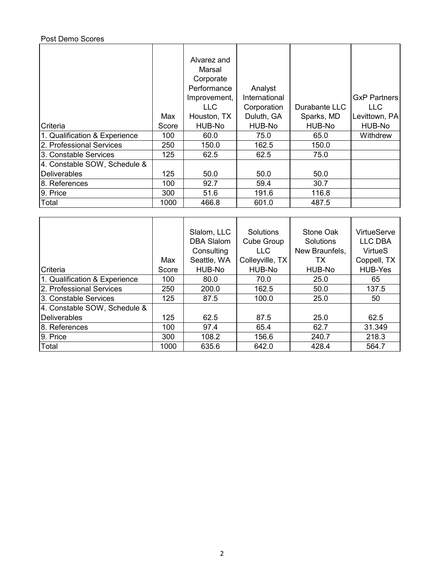## Post Demo Scores

|                               | Max   | Alvarez and<br>Marsal<br>Corporate<br>Performance<br>Improvement,<br>LLC.<br>Houston, TX | Analyst<br>International<br>Corporation<br>Duluth, GA | Durabante LLC<br>Sparks, MD | <b>GxP Partners</b><br><b>LLC</b><br>Levittown, PA |
|-------------------------------|-------|------------------------------------------------------------------------------------------|-------------------------------------------------------|-----------------------------|----------------------------------------------------|
| Criteria                      | Score | HUB-No                                                                                   | HUB-No                                                | HUB-No                      | HUB-No                                             |
| 1. Qualification & Experience | 100   | 60.0                                                                                     | 75.0                                                  | 65.0                        | Withdrew                                           |
| 2. Professional Services      | 250   | 150.0                                                                                    | 162.5                                                 | 150.0                       |                                                    |
| 3. Constable Services         | 125   | 62.5                                                                                     | 62.5                                                  | 75.0                        |                                                    |
| 4. Constable SOW, Schedule &  |       |                                                                                          |                                                       |                             |                                                    |
| <b>IDeliverables</b>          | 125   | 50.0                                                                                     | 50.0                                                  | 50.0                        |                                                    |
| 8. References                 | 100   | 92.7                                                                                     | 59.4                                                  | 30.7                        |                                                    |
| 9. Price                      | 300   | 51.6                                                                                     | 191.6                                                 | 116.8                       |                                                    |
| Total                         | 1000  | 466.8                                                                                    | 601.0                                                 | 487.5                       |                                                    |

|                               | Max   | Slalom, LLC<br><b>DBA Slalom</b><br>Consulting<br>Seattle, WA | Solutions<br>Cube Group<br><b>LLC</b><br>Colleyville, TX | Stone Oak<br><b>Solutions</b><br>New Braunfels,<br>ТX | VirtueServe<br><b>LLC DBA</b><br><b>VirtueS</b><br>Coppell, TX |
|-------------------------------|-------|---------------------------------------------------------------|----------------------------------------------------------|-------------------------------------------------------|----------------------------------------------------------------|
| Criteria                      | Score | HUB-No                                                        | HUB-No                                                   | HUB-No                                                | <b>HUB-Yes</b>                                                 |
| 1. Qualification & Experience | 100   | 80.0                                                          | 70.0                                                     | 25.0                                                  | 65                                                             |
| 2. Professional Services      | 250   | 200.0                                                         | 162.5                                                    | 50.0                                                  | 137.5                                                          |
| 3. Constable Services         | 125   | 87.5                                                          | 100.0                                                    | 25.0                                                  | 50                                                             |
| 4. Constable SOW, Schedule &  |       |                                                               |                                                          |                                                       |                                                                |
| Deliverables                  | 125   | 62.5                                                          | 87.5                                                     | 25.0                                                  | 62.5                                                           |
| 8. References                 | 100   | 97.4                                                          | 65.4                                                     | 62.7                                                  | 31.349                                                         |
| 9. Price                      | 300   | 108.2                                                         | 156.6                                                    | 240.7                                                 | 218.3                                                          |
| Total                         | 1000  | 635.6                                                         | 642.0                                                    | 428.4                                                 | 564.7                                                          |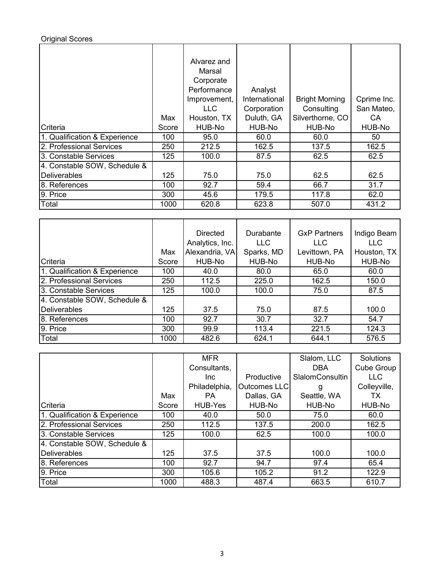## Original Scores

|                               | Max   | Alvarez and<br>Marsal<br>Corporate<br>Performance<br>Improvement,<br>LLC.<br>Houston, TX | Analyst<br>International<br>Corporation<br>Duluth, GA | <b>Bright Morning</b><br>Consulting<br>Silverthorne, CO | Cprime Inc.<br>San Mateo,<br>CA. |
|-------------------------------|-------|------------------------------------------------------------------------------------------|-------------------------------------------------------|---------------------------------------------------------|----------------------------------|
| Criteria                      | Score | HUB-No                                                                                   | HUB-No                                                | HUB-No                                                  | HUB-No                           |
| 1. Qualification & Experience | 100   | 95.0                                                                                     | 60.0                                                  | 60.0                                                    | 50                               |
| 2. Professional Services      | 250   | 212.5                                                                                    | 162.5                                                 | 137.5                                                   | 162.5                            |
| 3. Constable Services         | 125   | 100.0                                                                                    | 87.5                                                  | 62.5                                                    | 62.5                             |
| 4. Constable SOW, Schedule &  |       |                                                                                          |                                                       |                                                         |                                  |
| Deliverables                  | 125   | 75.0                                                                                     | 75.0                                                  | 62.5                                                    | 62.5                             |
| 8. References                 | 100   | 92.7                                                                                     | 59.4                                                  | 66.7                                                    | 31.7                             |
| 9. Price                      | 300   | 45.6                                                                                     | 179.5                                                 | 117.8                                                   | 62.0                             |
| Total                         | 1000  | 620.8                                                                                    | 623.8                                                 | 507.0                                                   | 431.2                            |

|                               |       | <b>Directed</b><br>Durabante |            | <b>GxP Partners</b> | Indigo Beam |
|-------------------------------|-------|------------------------------|------------|---------------------|-------------|
|                               |       | Analytics, Inc.              | LLC.       | <b>LLC</b>          | <b>LLC</b>  |
|                               | Max   | Alexandria, VA               | Sparks, MD | Levittown, PA       | Houston, TX |
| Criteria                      | Score | HUB-No                       | HUB-No     | HUB-No              | HUB-No      |
| 1. Qualification & Experience | 100   | 40.0                         | 80.0       | 65.0                | 60.0        |
| 2. Professional Services      | 250   | 112.5                        | 225.0      | 162.5               | 150.0       |
| 3. Constable Services         | 125   | 100.0                        | 100.0      | 75.0                | 87.5        |
| 4. Constable SOW, Schedule &  |       |                              |            |                     |             |
| <b>Deliverables</b>           | 125   | 37.5                         | 75.0       | 87.5                | 100.0       |
| 8. References                 | 100   | 92.7                         | 30.7       | 32.7                | 54.7        |
| 9. Price                      | 300   | 99.9                         | 113.4      | 221.5               | 124.3       |
| Total                         | 1000  | 482.6                        | 624.1      | 644.1               | 576.5       |

|                               |       | <b>MFR</b>         |                     | Slalom, LLC            | Solutions    |
|-------------------------------|-------|--------------------|---------------------|------------------------|--------------|
|                               |       | Consultants,       |                     | <b>DBA</b>             | Cube Group   |
|                               |       | Productive<br>Inc. |                     | <b>SlalomConsultin</b> | <b>LLC</b>   |
|                               |       | Philadelphia,      | <b>Outcomes LLC</b> | g                      | Colleyville, |
|                               | Max   | <b>PA</b>          | Dallas, GA          | Seattle, WA            | ТX           |
| Criteria                      | Score | HUB-Yes            | HUB-No              | HUB-No                 | HUB-No       |
| 1. Qualification & Experience | 100   | 40.0               | 50.0                | 75.0                   | 60.0         |
| 2. Professional Services      | 250   | 112.5              | 137.5               | 200.0                  | 162.5        |
| 3. Constable Services         | 125   | 100.0              | 62.5                | 100.0                  | 100.0        |
| 4. Constable SOW, Schedule &  |       |                    |                     |                        |              |
| Deliverables                  | 125   | 37.5               | 37.5                | 100.0                  | 100.0        |
| 8. References                 | 100   | 92.7               | 94.7                | 97.4                   | 65.4         |
| 9. Price                      | 300   | 105.6              | 105.2               | 91.2                   | 122.9        |
| Total                         | 1000  | 488.3              | 487.4               | 663.5                  | 610.7        |